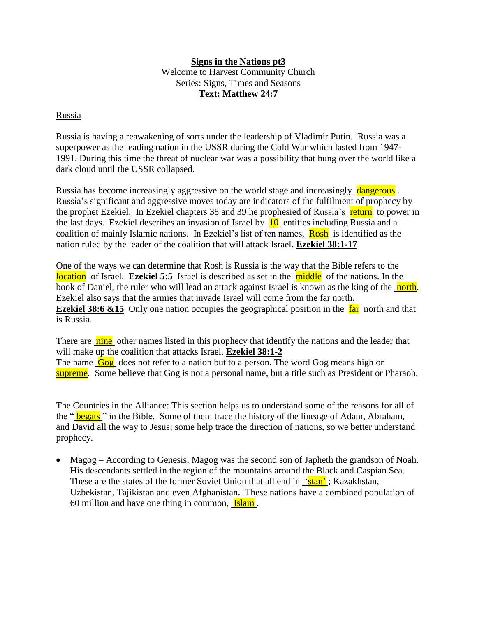## **Signs in the Nations pt3**

Welcome to Harvest Community Church Series: Signs, Times and Seasons **Text: Matthew 24:7**

## Russia

Russia is having a reawakening of sorts under the leadership of Vladimir Putin. Russia was a superpower as the leading nation in the USSR during the Cold War which lasted from 1947- 1991. During this time the threat of nuclear war was a possibility that hung over the world like a dark cloud until the USSR collapsed.

Russia has become increasingly aggressive on the world stage and increasingly dangerous . Russia's significant and aggressive moves today are indicators of the fulfilment of prophecy by the prophet Ezekiel. In Ezekiel chapters 38 and 39 he prophesied of Russia's return to power in the last days. Ezekiel describes an invasion of Israel by  $\overline{10}$  entities including Russia and a coalition of mainly Islamic nations. In Ezekiel's list of ten names, **Rosh** is identified as the nation ruled by the leader of the coalition that will attack Israel. **Ezekiel 38:1-17**

One of the ways we can determine that Rosh is Russia is the way that the Bible refers to the location of Israel. **Ezekiel 5:5** Israel is described as set in the middle of the nations. In the book of Daniel, the ruler who will lead an attack against Israel is known as the king of the north. Ezekiel also says that the armies that invade Israel will come from the far north. **Ezekiel 38:6 &15** Only one nation occupies the geographical position in the far north and that is Russia.

There are nine other names listed in this prophecy that identify the nations and the leader that will make up the coalition that attacks Israel. **Ezekiel 38:1-2** The name Gog does not refer to a nation but to a person. The word Gog means high or supreme. Some believe that Gog is not a personal name, but a title such as President or Pharaoh.

The Countries in the Alliance: This section helps us to understand some of the reasons for all of the " **begats**" in the Bible. Some of them trace the history of the lineage of Adam, Abraham, and David all the way to Jesus; some help trace the direction of nations, so we better understand prophecy.

 Magog – According to Genesis, Magog was the second son of Japheth the grandson of Noah. His descendants settled in the region of the mountains around the Black and Caspian Sea. These are the states of the former Soviet Union that all end in <u>'stan'</u>; Kazakhstan, Uzbekistan, Tajikistan and even Afghanistan. These nations have a combined population of 60 million and have one thing in common, Islam .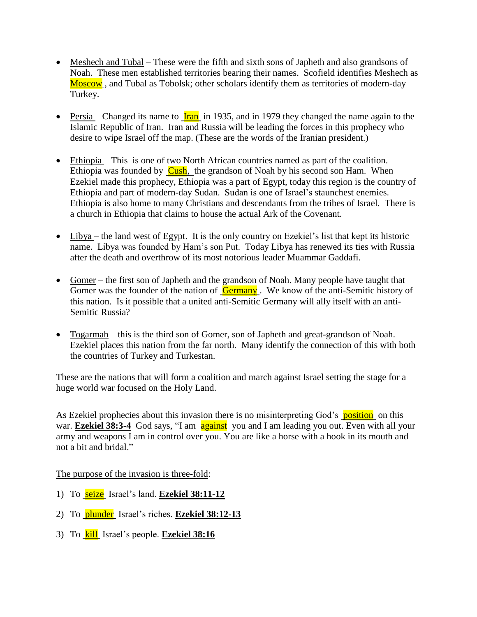- Meshech and Tubal These were the fifth and sixth sons of Japheth and also grandsons of Noah. These men established territories bearing their names. Scofield identifies Meshech as Moscow, and Tubal as Tobolsk; other scholars identify them as territories of modern-day Turkey.
- Persia Changed its name to  $\frac{\text{tran}}{\text{tran}}$  in 1935, and in 1979 they changed the name again to the Islamic Republic of Iran. Iran and Russia will be leading the forces in this prophecy who desire to wipe Israel off the map. (These are the words of the Iranian president.)
- Ethiopia This is one of two North African countries named as part of the coalition. Ethiopia was founded by  $Cush$ , the grandson of Noah by his second son Ham. When Ezekiel made this prophecy, Ethiopia was a part of Egypt, today this region is the country of Ethiopia and part of modern-day Sudan. Sudan is one of Israel's staunchest enemies. Ethiopia is also home to many Christians and descendants from the tribes of Israel. There is a church in Ethiopia that claims to house the actual Ark of the Covenant.
- $\bullet$  Libya the land west of Egypt. It is the only country on Ezekiel's list that kept its historic name. Libya was founded by Ham's son Put. Today Libya has renewed its ties with Russia after the death and overthrow of its most notorious leader Muammar Gaddafi.
- Gomer the first son of Japheth and the grandson of Noah. Many people have taught that Gomer was the founder of the nation of **Germany**. We know of the anti-Semitic history of this nation. Is it possible that a united anti-Semitic Germany will ally itself with an anti-Semitic Russia?
- Togarmah this is the third son of Gomer, son of Japheth and great-grandson of Noah. Ezekiel places this nation from the far north. Many identify the connection of this with both the countries of Turkey and Turkestan.

These are the nations that will form a coalition and march against Israel setting the stage for a huge world war focused on the Holy Land.

As Ezekiel prophecies about this invasion there is no misinterpreting God's **position** on this war. **Ezekiel 38:3-4** God says, "I am **against** you and I am leading you out. Even with all your army and weapons I am in control over you. You are like a horse with a hook in its mouth and not a bit and bridal."

The purpose of the invasion is three-fold:

- 1) To seize Israel's land. **Ezekiel 38:11-12**
- 2) To plunder Israel's riches. **Ezekiel 38:12-13**
- 3) To kill Israel's people. **Ezekiel 38:16**